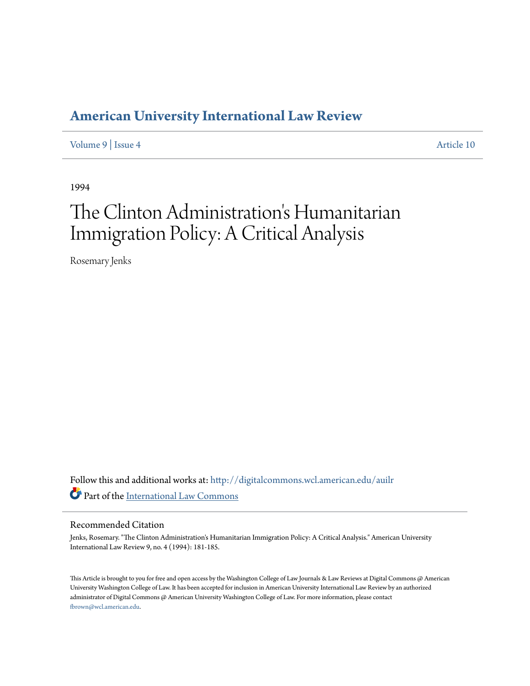## **[American University International Law Review](http://digitalcommons.wcl.american.edu/auilr?utm_source=digitalcommons.wcl.american.edu%2Fauilr%2Fvol9%2Fiss4%2F10&utm_medium=PDF&utm_campaign=PDFCoverPages)**

[Volume 9](http://digitalcommons.wcl.american.edu/auilr/vol9?utm_source=digitalcommons.wcl.american.edu%2Fauilr%2Fvol9%2Fiss4%2F10&utm_medium=PDF&utm_campaign=PDFCoverPages) | [Issue 4](http://digitalcommons.wcl.american.edu/auilr/vol9/iss4?utm_source=digitalcommons.wcl.american.edu%2Fauilr%2Fvol9%2Fiss4%2F10&utm_medium=PDF&utm_campaign=PDFCoverPages) [Article 10](http://digitalcommons.wcl.american.edu/auilr/vol9/iss4/10?utm_source=digitalcommons.wcl.american.edu%2Fauilr%2Fvol9%2Fiss4%2F10&utm_medium=PDF&utm_campaign=PDFCoverPages)

1994

# The Clinton Administration's Humanitarian Immigration Policy: A Critical Analysis

Rosemary Jenks

Follow this and additional works at: [http://digitalcommons.wcl.american.edu/auilr](http://digitalcommons.wcl.american.edu/auilr?utm_source=digitalcommons.wcl.american.edu%2Fauilr%2Fvol9%2Fiss4%2F10&utm_medium=PDF&utm_campaign=PDFCoverPages) Part of the [International Law Commons](http://network.bepress.com/hgg/discipline/609?utm_source=digitalcommons.wcl.american.edu%2Fauilr%2Fvol9%2Fiss4%2F10&utm_medium=PDF&utm_campaign=PDFCoverPages)

#### Recommended Citation

Jenks, Rosemary. "The Clinton Administration's Humanitarian Immigration Policy: A Critical Analysis." American University International Law Review 9, no. 4 (1994): 181-185.

This Article is brought to you for free and open access by the Washington College of Law Journals & Law Reviews at Digital Commons @ American University Washington College of Law. It has been accepted for inclusion in American University International Law Review by an authorized administrator of Digital Commons @ American University Washington College of Law. For more information, please contact [fbrown@wcl.american.edu](mailto:fbrown@wcl.american.edu).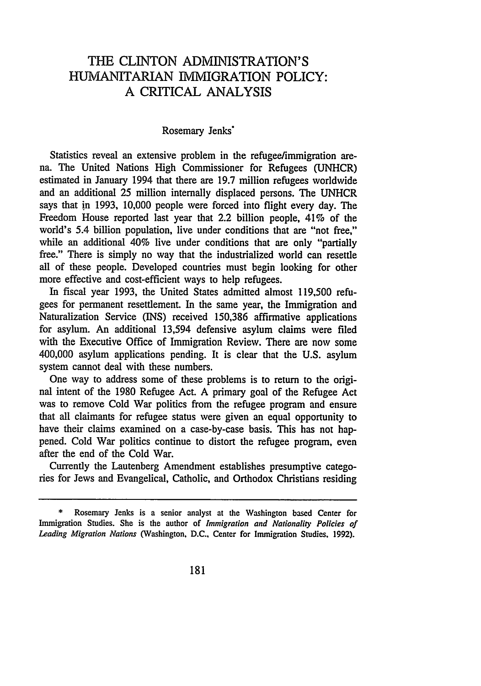### THE CLINTON ADMINISTRATION'S HUMANITARIAN IMMIGRATION POLICY: A CRITICAL ANALYSIS

#### Rosemary Jenks\*

Statistics reveal an extensive problem in the refugee/immigration arena. The United Nations High Commissioner for Refugees (UNHCR) estimated in January 1994 that there are 19.7 million refugees worldwide and an additional 25 million internally displaced persons. The UNHCR says that in 1993, 10,000 people were forced into flight every day. The Freedom House reported last year that 2.2 billion people, 41% of the world's 5.4 billion population, live under conditions that are "not free," while an additional 40% live under conditions that are only "partially free." There is simply no way that the industrialized world can resettle all of these people. Developed countries must begin looking for other more effective and cost-efficient ways to help refugees.

In fiscal year 1993, the United States admitted almost 119,500 refugees for permanent resettlement. In the same year, the Immigration and Naturalization Service (INS) received 150,386 affirmative applications for asylum. An additional 13,594 defensive asylum claims were filed with the Executive Office of Immigration Review. There are now some 400,000 asylum applications pending. It is clear that the U.S. asylum system cannot deal with these numbers.

One way to address some of these problems is to return to the original intent of the 1980 Refugee Act. A primary goal of the Refugee Act was to remove Cold War politics from the refugee program and ensure that all claimants for refugee status were given an equal opportunity to have their claims examined on a case-by-case basis. This has not happened. Cold War politics continue to distort the refugee program, even after the end of the Cold War.

Currently the Lautenberg Amendment establishes presumptive categories for Jews and Evangelical, Catholic, and Orthodox Christians residing

<sup>\*</sup> Rosemary Jenks is a senior analyst at the Washington based Center for Immigration Studies. She is the author of *Immigration* and Nationality *Policies of Leading Migration Nations* (Washington, D.C., Center for Immigration Studies. 1992).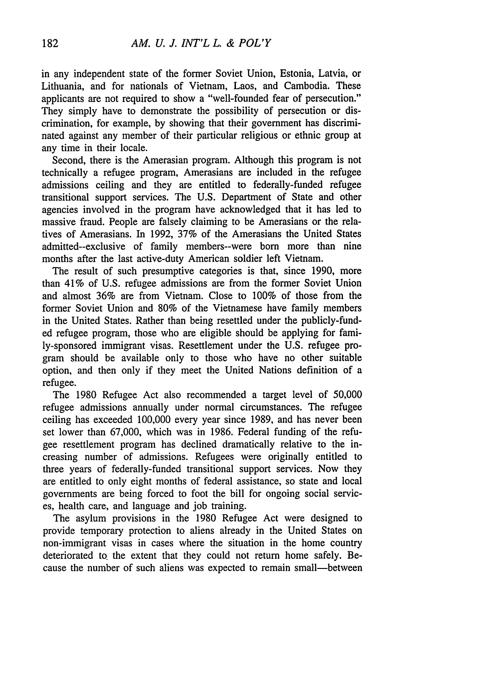in any independent state of the former Soviet Union, Estonia, Latvia, or Lithuania, and for nationals of Vietnam, Laos, and Cambodia. These applicants are not required to show a "well-founded fear of persecution." They simply have to demonstrate the possibility of persecution or discrimination, for example, by showing that their government has discriminated against any member of their particular religious or ethnic group at any time in their locale.

Second, there is the Amerasian program. Although this program is not technically a refugee program, Amerasians are included in the refugee admissions ceiling and they are entitled to federally-funded refugee transitional support services. The U.S. Department of State and other agencies involved in the program have acknowledged that it has led to massive fraud. People are falsely claiming to be Amerasians or the relatives of Amerasians. In 1992, 37% of the Amerasians the United States admitted--exclusive of family members--were born more than nine months after the last active-duty American soldier left Vietnam.

The result of such presumptive categories is that, since 1990, more than 41% of U.S. refugee admissions are from the former Soviet Union and almost 36% are from Vietnam. Close to 100% of those from the former Soviet Union and 80% of the Vietnamese have family members in the United States. Rather than being resettled under the publicly-funded refugee program, those who are eligible should be applying for family-sponsored immigrant visas. Resettlement under the U.S. refugee program should be available only to those who have no other suitable option, and then only if they meet the United Nations definition of a refugee.

The 1980 Refugee Act also recommended a target level of 50,000 refugee admissions annually under normal circumstances. The refugee ceiling has exceeded 100,000 every year since 1989, and has never been set lower than 67,000, which was in 1986. Federal funding of the refugee resettlement program has declined dramatically relative to the increasing number of admissions. Refugees were originally entitled to three years of federally-funded transitional support services. Now they are entitled to only eight months of federal assistance, so state and local governments are being forced to foot the bill for ongoing social services, health care, and language and job training.

The asylum provisions in the 1980 Refugee Act were designed to provide temporary protection to aliens already in the United States on non-immigrant visas in cases where the situation in the home country deteriorated to. the extent that they could not return home safely. Because the number of such aliens was expected to remain small—between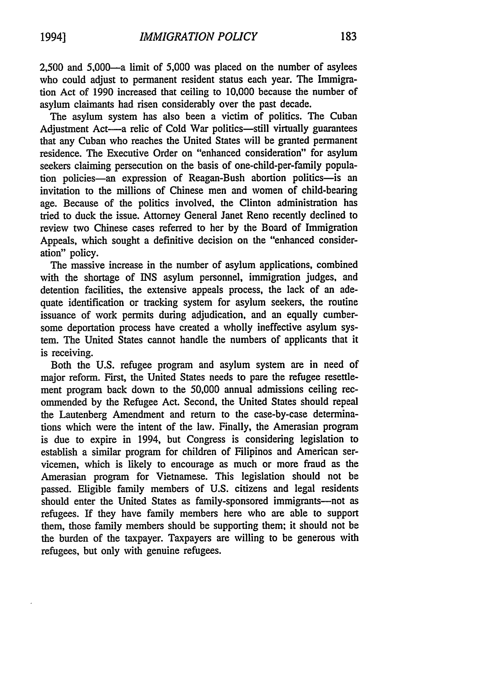2,500 and 5,000-a limit of 5,000 was placed on the number of asylees who could adjust to permanent resident status each year. The Immigration Act of 1990 increased that ceiling to 10,000 because the number of asylum claimants had risen considerably over the past decade.

The asylum system has also been a victim of politics. The Cuban Adjustment Act-a relic of Cold War politics-still virtually guarantees that any Cuban who reaches the United States will be granted permanent residence. The Executive Order on "enhanced consideration" for asylum seekers claiming persecution on the basis of one-child-per-family population policies-an expression of Reagan-Bush abortion politics- is an invitation to the millions of Chinese men and women of child-bearing age. Because of the politics involved, the Clinton administration has tried to duck the issue. Attorney General Janet Reno recently declined to review two Chinese cases referred to her by the Board of Immigration Appeals, which sought a definitive decision on the "enhanced consideration" policy.

The massive increase in the number of asylum applications, combined with the shortage of INS asylum personnel, immigration judges, and detention facilities, the extensive appeals process, the lack of an adequate identification or tracking system for asylum seekers, the routine issuance of work permits during adjudication, and an equally cumbersome deportation process have created a wholly ineffective asylum system. The United States cannot handle the numbers of applicants that it is receiving.

Both the U.S. refugee program and asylum system are in need of major reform. First, the United States needs to pare the refugee resettlement program back down to the 50,000 annual admissions ceiling recommended by the Refugee Act. Second, the United States should repeal the Lautenberg Amendment and return to the case-by-case determinations which were the intent of the law. Finally, the Amerasian program is due to expire in 1994, but Congress is considering legislation to establish a similar program for children of Filipinos and American servicemen, which is likely to encourage as much or more fraud as the Amerasian program for Vietnamese. This legislation should not be passed. Eligible family members of U.S. citizens and legal residents should enter the United States as family-sponsored immigrants-not as refugees. If they have family members here who are able to support them, those family members should be supporting them; it should not be the burden of the taxpayer. Taxpayers are willing to be generous with refugees, but only with genuine refugees.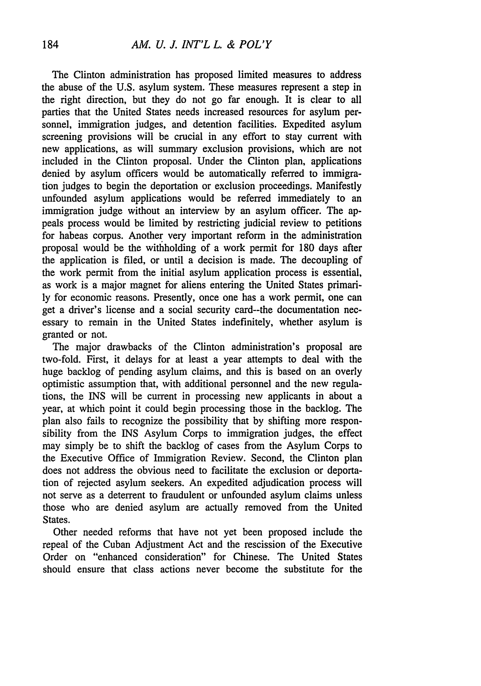The Clinton administration has proposed limited measures to address the abuse of the U.S. asylum system. These measures represent a step in the right direction, but they do not go far enough. It is clear to all parties that the United States needs increased resources for asylum personnel, immigration judges, and detention facilities. Expedited asylum screening provisions will be crucial in any effort to stay current with new applications, as will summary exclusion provisions, which are not included in the Clinton proposal. Under the Clinton plan, applications denied by asylum officers would be automatically referred to immigration judges to begin the deportation or exclusion proceedings. Manifestly unfounded asylum applications would be referred immediately to an immigration judge without an interview by an asylum officer. The appeals process would be limited by restricting judicial review to petitions for habeas corpus. Another very important reform in the administration proposal would be the withholding of a work permit for 180 days after the application is filed, or until a decision is made. The decoupling of the work permit from the initial asylum application process is essential, as work is a major magnet for aliens entering the United States primarily for economic reasons. Presently, once one has a work permit, one can get a driver's license and a social security card--the documentation necessary to remain in the United States indefinitely, whether asylum is granted or not.

The major drawbacks of the Clinton administration's proposal are two-fold. First, it delays for at least a year attempts to deal with the huge backlog of pending asylum claims, and this is based on an overly optimistic assumption that, with additional personnel and the new regulations, the INS will be current in processing new applicants in about a year, at which point it could begin processing those in the backlog. The plan also fails to recognize the possibility that by shifting more responsibility from the INS Asylum Corps to immigration judges, the effect may simply be to shift the backlog of cases from the Asylum Corps to the Executive Office of Immigration Review. Second, the Clinton plan does not address the obvious need to facilitate the exclusion or deportation of rejected asylum seekers. An expedited adjudication process will not serve as a deterrent to fraudulent or unfounded asylum claims unless those who are denied asylum are actually removed from the United States.

Other needed reforms that have not yet been proposed include the repeal of the Cuban Adjustment Act and the rescission of the Executive Order on "enhanced consideration" for Chinese. The United States should ensure that class actions never become the substitute for the